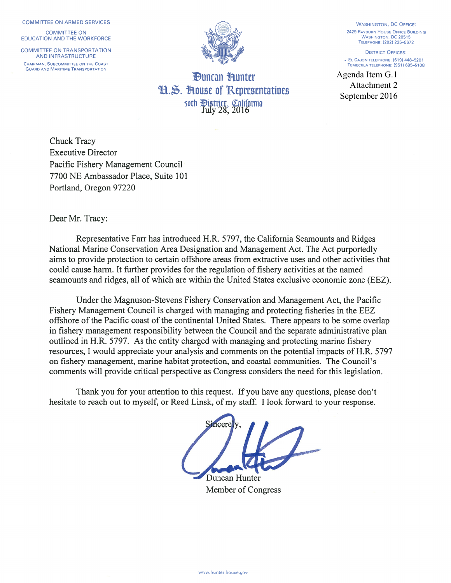#### **COMMITTEE ON ARMED SERVICES**

**COMMITTEE ON EDUCATION AND THE WORKFORCE** 

**COMMITTEE ON TRANSPORTATION AND INFRASTRUCTURE** CHAIRMAN, SUBCOMMITTEE ON THE COAST **GUARD AND MARITIME TRANSPORTATION** 



*<u>Duncan Hunter</u>* H.S. House of Representatives soth Pistrict, California<br>July 28, 2016

**WASHINGTON, DC OFFICE:** 2429 RAYBURN HOUSE OFFICE BUILDING **WASHINGTON, DC 20515** TELEPHONE: (202) 225-5672

**DISTRICT OFFICES:** - EL CAJON TELEPHONE: (619) 448-5201 TEMECULA TELEPHONE: (951) 695-5108

Agenda Item G.1 Attachment 2 September 2016

**Chuck Tracy Executive Director** Pacific Fishery Management Council 7700 NE Ambassador Place, Suite 101 Portland, Oregon 97220

### Dear Mr. Tracy:

Representative Farr has introduced H.R. 5797, the California Seamounts and Ridges National Marine Conservation Area Designation and Management Act. The Act purportedly aims to provide protection to certain offshore areas from extractive uses and other activities that could cause harm. It further provides for the regulation of fishery activities at the named seamounts and ridges, all of which are within the United States exclusive economic zone (EEZ).

Under the Magnuson-Stevens Fishery Conservation and Management Act, the Pacific Fishery Management Council is charged with managing and protecting fisheries in the EEZ offshore of the Pacific coast of the continental United States. There appears to be some overlap in fishery management responsibility between the Council and the separate administrative plan outlined in H.R. 5797. As the entity charged with managing and protecting marine fishery resources, I would appreciate your analysis and comments on the potential impacts of H.R. 5797 on fishery management, marine habitat protection, and coastal communities. The Council's comments will provide critical perspective as Congress considers the need for this legislation.

Thank you for your attention to this request. If you have any questions, please don't hesitate to reach out to myself, or Reed Linsk, of my staff. I look forward to your response.

Duncan Hunter

Member of Congress